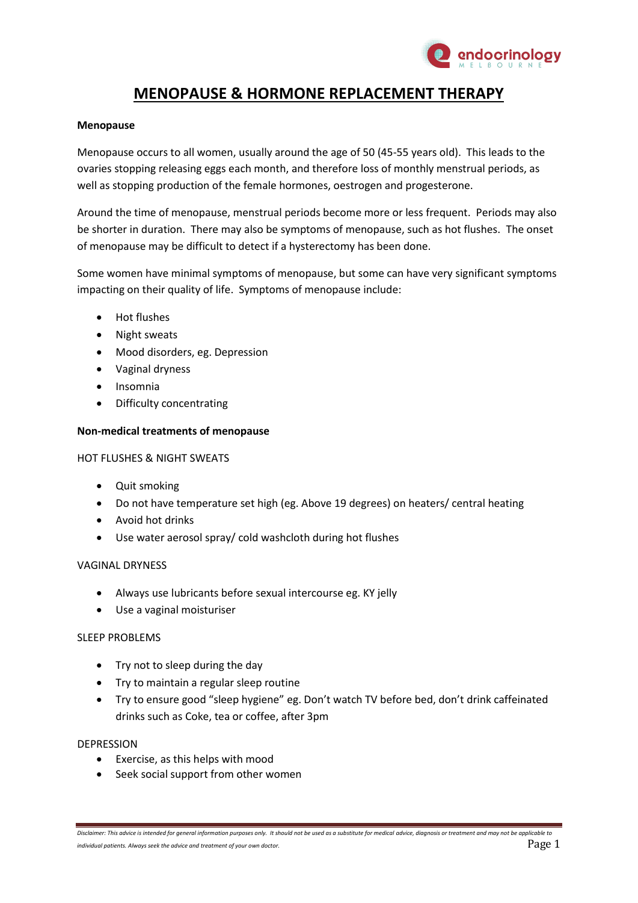

# **MENOPAUSE & HORMONE REPLACEMENT THERAPY**

## **Menopause**

Menopause occurs to all women, usually around the age of 50 (45-55 years old). This leads to the ovaries stopping releasing eggs each month, and therefore loss of monthly menstrual periods, as well as stopping production of the female hormones, oestrogen and progesterone.

Around the time of menopause, menstrual periods become more or less frequent. Periods may also be shorter in duration. There may also be symptoms of menopause, such as hot flushes. The onset of menopause may be difficult to detect if a hysterectomy has been done.

Some women have minimal symptoms of menopause, but some can have very significant symptoms impacting on their quality of life. Symptoms of menopause include:

- Hot flushes
- Night sweats
- Mood disorders, eg. Depression
- Vaginal dryness
- Insomnia
- Difficulty concentrating

## **Non-medical treatments of menopause**

#### HOT FLUSHES & NIGHT SWEATS

- Quit smoking
- Do not have temperature set high (eg. Above 19 degrees) on heaters/ central heating
- Avoid hot drinks
- Use water aerosol spray/ cold washcloth during hot flushes

## VAGINAL DRYNESS

- Always use lubricants before sexual intercourse eg. KY jelly
- Use a vaginal moisturiser

## SLEEP PROBLEMS

- Try not to sleep during the day
- Try to maintain a regular sleep routine
- Try to ensure good "sleep hygiene" eg. Don't watch TV before bed, don't drink caffeinated drinks such as Coke, tea or coffee, after 3pm

## DEPRESSION

- Exercise, as this helps with mood
- Seek social support from other women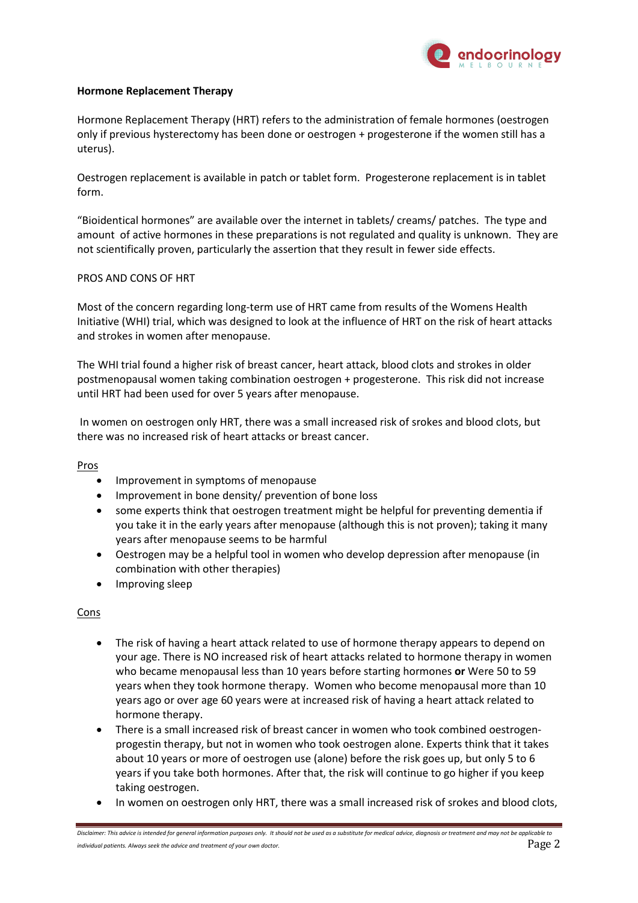

## **Hormone Replacement Therapy**

Hormone Replacement Therapy (HRT) refers to the administration of female hormones (oestrogen only if previous hysterectomy has been done or oestrogen + progesterone if the women still has a uterus).

Oestrogen replacement is available in patch or tablet form. Progesterone replacement is in tablet form.

"Bioidentical hormones" are available over the internet in tablets/ creams/ patches. The type and amount of active hormones in these preparations is not regulated and quality is unknown. They are not scientifically proven, particularly the assertion that they result in fewer side effects.

#### PROS AND CONS OF HRT

Most of the concern regarding long-term use of HRT came from results of the Womens Health Initiative (WHI) trial, which was designed to look at the influence of HRT on the risk of heart attacks and strokes in women after menopause.

The WHI trial found a higher risk of breast cancer, heart attack, blood clots and strokes in older postmenopausal women taking combination oestrogen + progesterone. This risk did not increase until HRT had been used for over 5 years after menopause.

In women on oestrogen only HRT, there was a small increased risk of srokes and blood clots, but there was no increased risk of heart attacks or breast cancer.

#### Pros

- Improvement in symptoms of menopause
- Improvement in bone density/ prevention of bone loss
- some experts think that oestrogen treatment might be helpful for preventing dementia if you take it in the early years after menopause (although this is not proven); taking it many years after menopause seems to be harmful
- Oestrogen may be a helpful tool in women who develop depression after menopause (in combination with other therapies)
- Improving sleep

## **Cons**

- The risk of having a heart attack related to use of hormone therapy appears to depend on your age. There is NO increased risk of heart attacks related to hormone therapy in women who became menopausal less than 10 years before starting hormones **or** Were 50 to 59 years when they took hormone therapy. Women who become menopausal more than 10 years ago or over age 60 years were at increased risk of having a heart attack related to hormone therapy.
- There is a small increased risk of breast cancer in women who took combined oestrogenprogestin therapy, but not in women who took oestrogen alone. Experts think that it takes about 10 years or more of oestrogen use (alone) before the risk goes up, but only 5 to 6 years if you take both hormones. After that, the risk will continue to go higher if you keep taking oestrogen.
- In women on oestrogen only HRT, there was a small increased risk of srokes and blood clots,